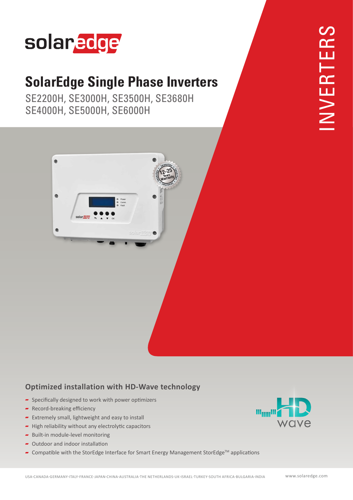## solaredge

## **SolarEdge Single Phase Inverters**

SE2200H, SE3000H, SE3500H, SE3680H SE4000H, SE5000H, SE6000H



## **Optimized installation with HD-Wave technology**

- $\blacktriangleright$  Specifically designed to work with power optimizers
- Record-breaking efficiency
- $\blacktriangleright$  Extremely small, lightweight and easy to install
- $\blacksquare$  High reliability without any electrolytic capacitors
- $\blacksquare$  Built-in module-level monitoring
- $\sim$  Outdoor and indoor installation
- **-** Compatible with the StorEdge Interface for Smart Energy Management StorEdge<sup>™</sup> applications